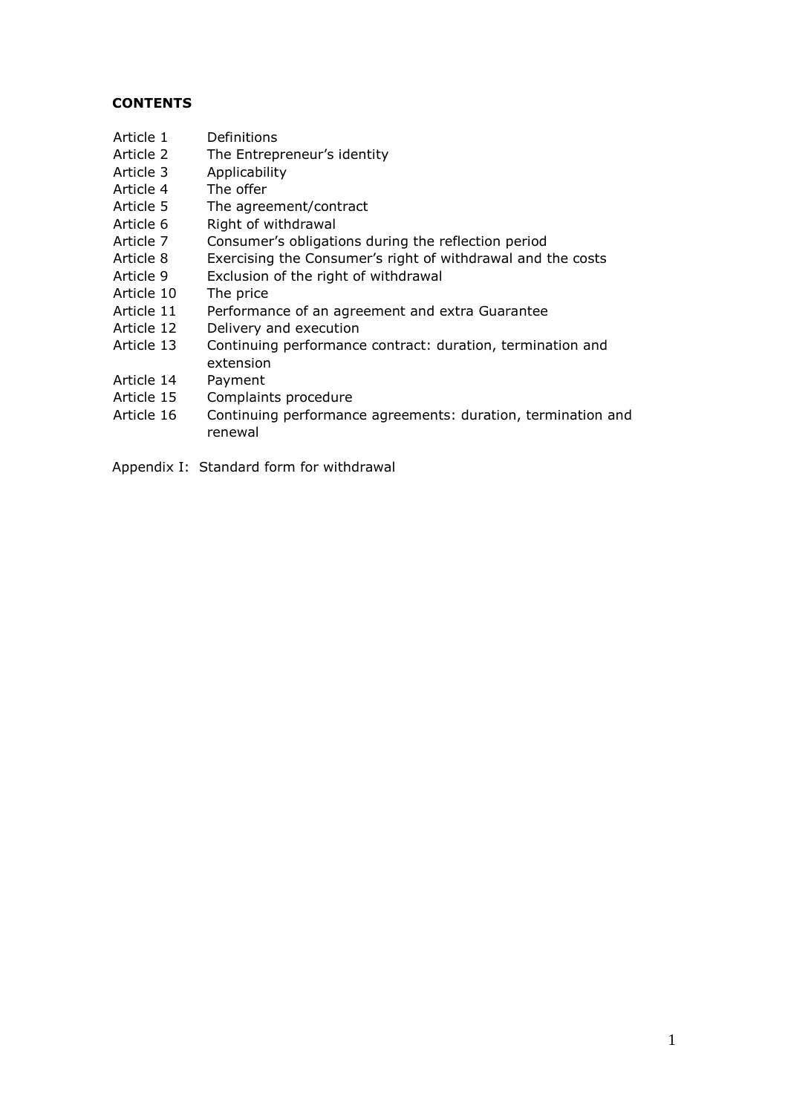### **CONTENTS**

- Article 1 Definitions
- Article 2 The Entrepreneur's identity
- Article 3 Applicability
- Article 4 The offer
- Article 5 The agreement/contract
- Article 6 Right of withdrawal
- Article 7 Consumer's obligations during the reflection period
- Article 8 Exercising the Consumer's right of withdrawal and the costs
- Article 9 Exclusion of the right of withdrawal
- Article 10 The price
- Article 11 Performance of an agreement and extra Guarantee
- Article 12 Delivery and execution
- Article 13 Continuing performance contract: duration, termination and extension
- Article 14 Payment
- Article 15 Complaints procedure
- Article 16 Continuing performance agreements: duration, termination and renewal

Appendix I: Standard form for withdrawal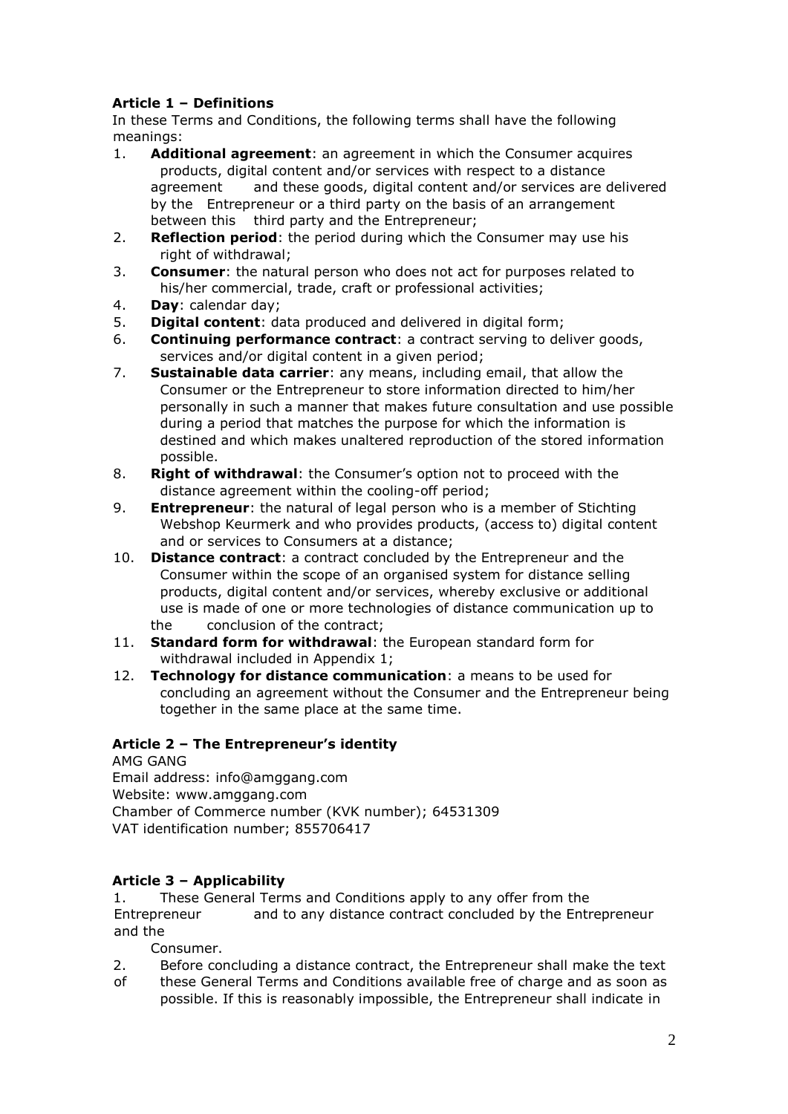# **Article 1 – Definitions**

In these Terms and Conditions, the following terms shall have the following meanings:

- 1. **Additional agreement**: an agreement in which the Consumer acquires products, digital content and/or services with respect to a distance agreement and these goods, digital content and/or services are delivered by the Entrepreneur or a third party on the basis of an arrangement between this third party and the Entrepreneur;
- 2. **Reflection period**: the period during which the Consumer may use his right of withdrawal;
- 3. **Consumer**: the natural person who does not act for purposes related to his/her commercial, trade, craft or professional activities;
- 4. **Day**: calendar day;
- 5. **Digital content**: data produced and delivered in digital form;
- 6. **Continuing performance contract**: a contract serving to deliver goods, services and/or digital content in a given period:
- 7. **Sustainable data carrier**: any means, including email, that allow the Consumer or the Entrepreneur to store information directed to him/her personally in such a manner that makes future consultation and use possible during a period that matches the purpose for which the information is destined and which makes unaltered reproduction of the stored information possible.
- 8. **Right of withdrawal**: the Consumer's option not to proceed with the distance agreement within the cooling-off period;
- 9. **Entrepreneur**: the natural of legal person who is a member of Stichting Webshop Keurmerk and who provides products, (access to) digital content and or services to Consumers at a distance;
- 10. **Distance contract**: a contract concluded by the Entrepreneur and the Consumer within the scope of an organised system for distance selling products, digital content and/or services, whereby exclusive or additional use is made of one or more technologies of distance communication up to the conclusion of the contract;
- 11. **Standard form for withdrawal**: the European standard form for withdrawal included in Appendix 1;
- 12. **Technology for distance communication**: a means to be used for concluding an agreement without the Consumer and the Entrepreneur being together in the same place at the same time.

# **Article 2 – The Entrepreneur's identity**

AMG GANG Email address: info@amggang.com Website: www.amggang.com Chamber of Commerce number (KVK number); 64531309 VAT identification number; 855706417

#### **Article 3 – Applicability**

1. These General Terms and Conditions apply to any offer from the Entrepreneur and to any distance contract concluded by the Entrepreneur and the

Consumer.

- 2. Before concluding a distance contract, the Entrepreneur shall make the text
- of these General Terms and Conditions available free of charge and as soon as possible. If this is reasonably impossible, the Entrepreneur shall indicate in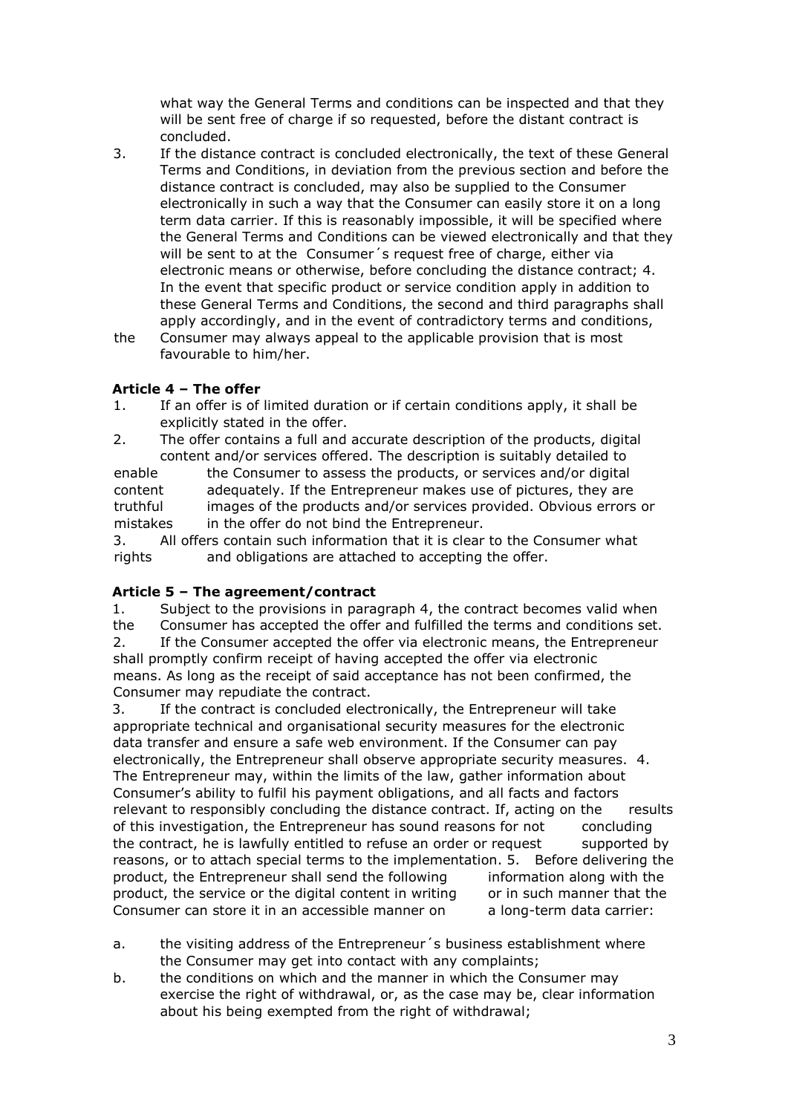what way the General Terms and conditions can be inspected and that they will be sent free of charge if so requested, before the distant contract is concluded.

- 3. If the distance contract is concluded electronically, the text of these General Terms and Conditions, in deviation from the previous section and before the distance contract is concluded, may also be supplied to the Consumer electronically in such a way that the Consumer can easily store it on a long term data carrier. If this is reasonably impossible, it will be specified where the General Terms and Conditions can be viewed electronically and that they will be sent to at the Consumer´s request free of charge, either via electronic means or otherwise, before concluding the distance contract; 4. In the event that specific product or service condition apply in addition to these General Terms and Conditions, the second and third paragraphs shall apply accordingly, and in the event of contradictory terms and conditions,
- the Consumer may always appeal to the applicable provision that is most favourable to him/her.

### **Article 4 – The offer**

- 1. If an offer is of limited duration or if certain conditions apply, it shall be explicitly stated in the offer.
- 2. The offer contains a full and accurate description of the products, digital content and/or services offered. The description is suitably detailed to

enable the Consumer to assess the products, or services and/or digital content adequately. If the Entrepreneur makes use of pictures, they are truthful images of the products and/or services provided. Obvious errors or mistakes in the offer do not bind the Entrepreneur.

3. All offers contain such information that it is clear to the Consumer what rights and obligations are attached to accepting the offer.

#### **Article 5 – The agreement/contract**

1. Subject to the provisions in paragraph 4, the contract becomes valid when the Consumer has accepted the offer and fulfilled the terms and conditions set. 2. If the Consumer accepted the offer via electronic means, the Entrepreneur shall promptly confirm receipt of having accepted the offer via electronic means. As long as the receipt of said acceptance has not been confirmed, the Consumer may repudiate the contract.

3. If the contract is concluded electronically, the Entrepreneur will take appropriate technical and organisational security measures for the electronic data transfer and ensure a safe web environment. If the Consumer can pay electronically, the Entrepreneur shall observe appropriate security measures. 4. The Entrepreneur may, within the limits of the law, gather information about Consumer's ability to fulfil his payment obligations, and all facts and factors relevant to responsibly concluding the distance contract. If, acting on the results of this investigation, the Entrepreneur has sound reasons for not concluding the contract, he is lawfully entitled to refuse an order or request supported by reasons, or to attach special terms to the implementation. 5. Before delivering the product, the Entrepreneur shall send the following information along with the product, the service or the digital content in writing or in such manner that the Consumer can store it in an accessible manner on a long-term data carrier:

- a. the visiting address of the Entrepreneur´s business establishment where the Consumer may get into contact with any complaints;
- b. the conditions on which and the manner in which the Consumer may exercise the right of withdrawal, or, as the case may be, clear information about his being exempted from the right of withdrawal;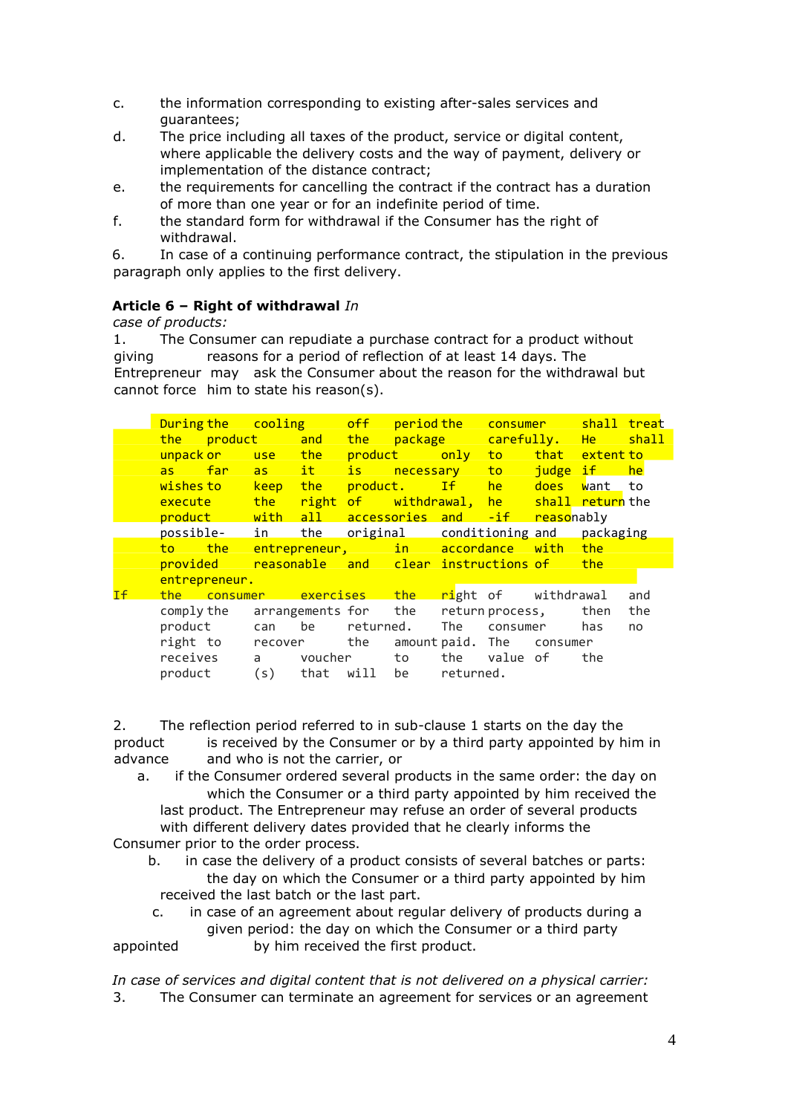- c. the information corresponding to existing after-sales services and guarantees;
- d. The price including all taxes of the product, service or digital content, where applicable the delivery costs and the way of payment, delivery or implementation of the distance contract;
- e. the requirements for cancelling the contract if the contract has a duration of more than one year or for an indefinite period of time.
- f. the standard form for withdrawal if the Consumer has the right of withdrawal.

6. In case of a continuing performance contract, the stipulation in the previous paragraph only applies to the first delivery.

### **Article 6 – Right of withdrawal** *In*

*case of products:* 

1. The Consumer can repudiate a purchase contract for a product without giving reasons for a period of reflection of at least 14 days. The Entrepreneur may ask the Consumer about the reason for the withdrawal but cannot force him to state his reason(s).

|                | During the cooling<br>the<br><u>product</u><br>unpack or | a use the product only              | and the the the state of the state of the state of the state of the state of the state of the state of the sta |      | off period the |                 | <u>consumer t</u><br>package carefully.<br>to to |          | <u>shall treat</u><br>- Hel<br>that extent to | <u>shall sha</u> |
|----------------|----------------------------------------------------------|-------------------------------------|----------------------------------------------------------------------------------------------------------------|------|----------------|-----------------|--------------------------------------------------|----------|-----------------------------------------------|------------------|
|                | far<br>as a                                              |                                     | <mark>as it is</mark>                                                                                          |      | necessary      |                 | to to                                            |          | judge if he                                   |                  |
|                | wishes to                                                | <b>Example 18 Seep the product.</b> |                                                                                                                |      |                | $If -$          | he h                                             | does     | <mark>w</mark> ant to                         |                  |
|                | <u>execute exa</u>                                       |                                     | the right of withdrawal, he                                                                                    |      |                |                 |                                                  |          | shall return the                              |                  |
|                | product                                                  |                                     | with all accessories and -if reasonably                                                                        |      |                |                 |                                                  |          |                                               |                  |
|                | possible- in the original conditioning and packaging     |                                     |                                                                                                                |      |                |                 |                                                  |          |                                               |                  |
|                | to the entrepreneur, in accordance                       |                                     |                                                                                                                |      |                |                 |                                                  | with the |                                               |                  |
|                | <u>provided</u>                                          |                                     | reasonable and clear instructions of the                                                                       |      |                |                 |                                                  |          |                                               |                  |
|                | entrepreneur.                                            |                                     |                                                                                                                |      |                |                 |                                                  |          |                                               |                  |
| T <sub>f</sub> | the consumer                                             |                                     | exercises the right-of withdrawal                                                                              |      |                |                 |                                                  |          |                                               | and              |
|                |                                                          |                                     | comply the arrangements for the                                                                                |      |                | return process, |                                                  |          | then                                          | the              |
|                | product                                                  | can                                 | be                                                                                                             |      | returned.      | The             | consumer                                         |          | has                                           | no               |
|                | right to                                                 |                                     | the<br>recover                                                                                                 |      | amount paid.   |                 | The                                              |          | consumer                                      |                  |
|                | receives                                                 | a                                   | voucher                                                                                                        |      | to             | the             | value of                                         |          | the                                           |                  |
|                | product                                                  | (s)                                 | that                                                                                                           | will | be             | returned.       |                                                  |          |                                               |                  |

2. The reflection period referred to in sub-clause 1 starts on the day the product is received by the Consumer or by a third party appointed by him in advance and who is not the carrier, or

a. if the Consumer ordered several products in the same order: the day on which the Consumer or a third party appointed by him received the last product. The Entrepreneur may refuse an order of several products with different delivery dates provided that he clearly informs the

Consumer prior to the order process.

- b. in case the delivery of a product consists of several batches or parts: the day on which the Consumer or a third party appointed by him received the last batch or the last part.
- c. in case of an agreement about regular delivery of products during a given period: the day on which the Consumer or a third party appointed by him received the first product.

*In case of services and digital content that is not delivered on a physical carrier:*  3. The Consumer can terminate an agreement for services or an agreement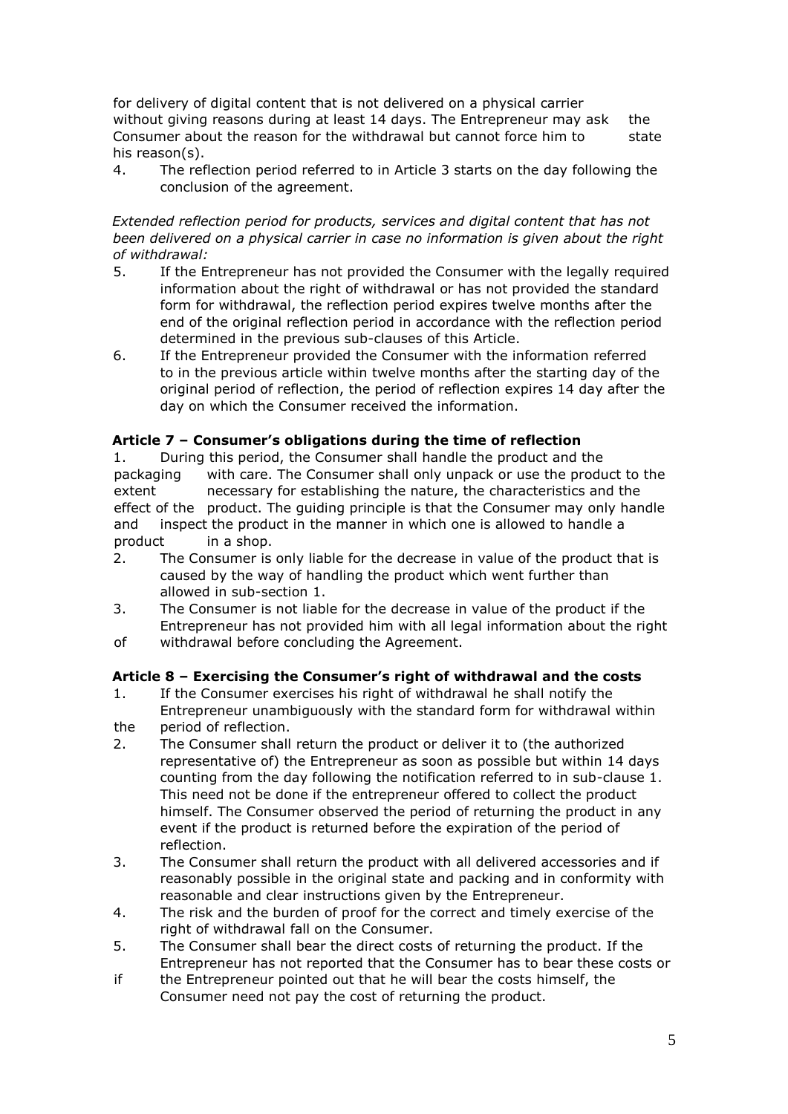for delivery of digital content that is not delivered on a physical carrier without giving reasons during at least 14 days. The Entrepreneur may ask the Consumer about the reason for the withdrawal but cannot force him to state his reason(s).

4. The reflection period referred to in Article 3 starts on the day following the conclusion of the agreement.

*Extended reflection period for products, services and digital content that has not been delivered on a physical carrier in case no information is given about the right of withdrawal:* 

- 5. If the Entrepreneur has not provided the Consumer with the legally required information about the right of withdrawal or has not provided the standard form for withdrawal, the reflection period expires twelve months after the end of the original reflection period in accordance with the reflection period determined in the previous sub-clauses of this Article.
- 6. If the Entrepreneur provided the Consumer with the information referred to in the previous article within twelve months after the starting day of the original period of reflection, the period of reflection expires 14 day after the day on which the Consumer received the information.

### **Article 7 – Consumer's obligations during the time of reflection**

1. During this period, the Consumer shall handle the product and the packaging with care. The Consumer shall only unpack or use the product to the extent necessary for establishing the nature, the characteristics and the effect of the product. The guiding principle is that the Consumer may only handle and inspect the product in the manner in which one is allowed to handle a product in a shop.

- 2. The Consumer is only liable for the decrease in value of the product that is caused by the way of handling the product which went further than allowed in sub-section 1.
- 3. The Consumer is not liable for the decrease in value of the product if the Entrepreneur has not provided him with all legal information about the right
- of withdrawal before concluding the Agreement.

#### **Article 8 – Exercising the Consumer's right of withdrawal and the costs**

- 1. If the Consumer exercises his right of withdrawal he shall notify the Entrepreneur unambiguously with the standard form for withdrawal within
- the period of reflection.
- 2. The Consumer shall return the product or deliver it to (the authorized representative of) the Entrepreneur as soon as possible but within 14 days counting from the day following the notification referred to in sub-clause 1. This need not be done if the entrepreneur offered to collect the product himself. The Consumer observed the period of returning the product in any event if the product is returned before the expiration of the period of reflection.
- 3. The Consumer shall return the product with all delivered accessories and if reasonably possible in the original state and packing and in conformity with reasonable and clear instructions given by the Entrepreneur.
- 4. The risk and the burden of proof for the correct and timely exercise of the right of withdrawal fall on the Consumer.
- 5. The Consumer shall bear the direct costs of returning the product. If the Entrepreneur has not reported that the Consumer has to bear these costs or
- if the Entrepreneur pointed out that he will bear the costs himself, the Consumer need not pay the cost of returning the product.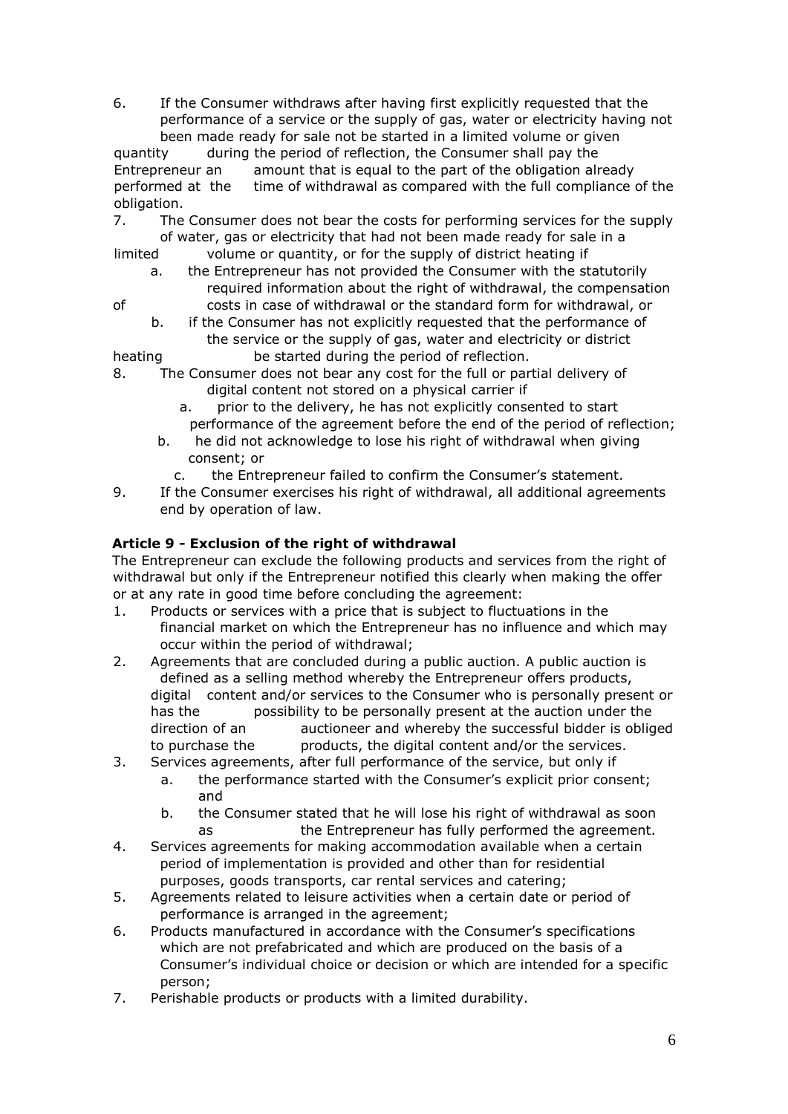6. If the Consumer withdraws after having first explicitly requested that the performance of a service or the supply of gas, water or electricity having not been made ready for sale not be started in a limited volume or given

quantity during the period of reflection, the Consumer shall pay the Entrepreneur an amount that is equal to the part of the obligation already performed at the time of withdrawal as compared with the full compliance of the obligation.

- 7. The Consumer does not bear the costs for performing services for the supply of water, gas or electricity that had not been made ready for sale in a
- limited volume or quantity, or for the supply of district heating if
- a. the Entrepreneur has not provided the Consumer with the statutorily required information about the right of withdrawal, the compensation of costs in case of withdrawal or the standard form for withdrawal, or
	- b. if the Consumer has not explicitly requested that the performance of the service or the supply of gas, water and electricity or district

heating be started during the period of reflection.

- 8. The Consumer does not bear any cost for the full or partial delivery of digital content not stored on a physical carrier if
	- a. prior to the delivery, he has not explicitly consented to start performance of the agreement before the end of the period of reflection;
	- b. he did not acknowledge to lose his right of withdrawal when giving consent; or
		- c. the Entrepreneur failed to confirm the Consumer's statement.
- 9. If the Consumer exercises his right of withdrawal, all additional agreements end by operation of law.

# **Article 9 - Exclusion of the right of withdrawal**

The Entrepreneur can exclude the following products and services from the right of withdrawal but only if the Entrepreneur notified this clearly when making the offer or at any rate in good time before concluding the agreement:

- 1. Products or services with a price that is subject to fluctuations in the financial market on which the Entrepreneur has no influence and which may occur within the period of withdrawal;
- 2. Agreements that are concluded during a public auction. A public auction is defined as a selling method whereby the Entrepreneur offers products, digital content and/or services to the Consumer who is personally present or has the possibility to be personally present at the auction under the direction of an auctioneer and whereby the successful bidder is obliged to purchase the products, the digital content and/or the services.
- 3. Services agreements, after full performance of the service, but only if
	- a. the performance started with the Consumer's explicit prior consent; and
	- b. the Consumer stated that he will lose his right of withdrawal as soon as the Entrepreneur has fully performed the agreement.
- 4. Services agreements for making accommodation available when a certain period of implementation is provided and other than for residential purposes, goods transports, car rental services and catering;
- 5. Agreements related to leisure activities when a certain date or period of performance is arranged in the agreement;
- 6. Products manufactured in accordance with the Consumer's specifications which are not prefabricated and which are produced on the basis of a Consumer's individual choice or decision or which are intended for a specific person;
- 7. Perishable products or products with a limited durability.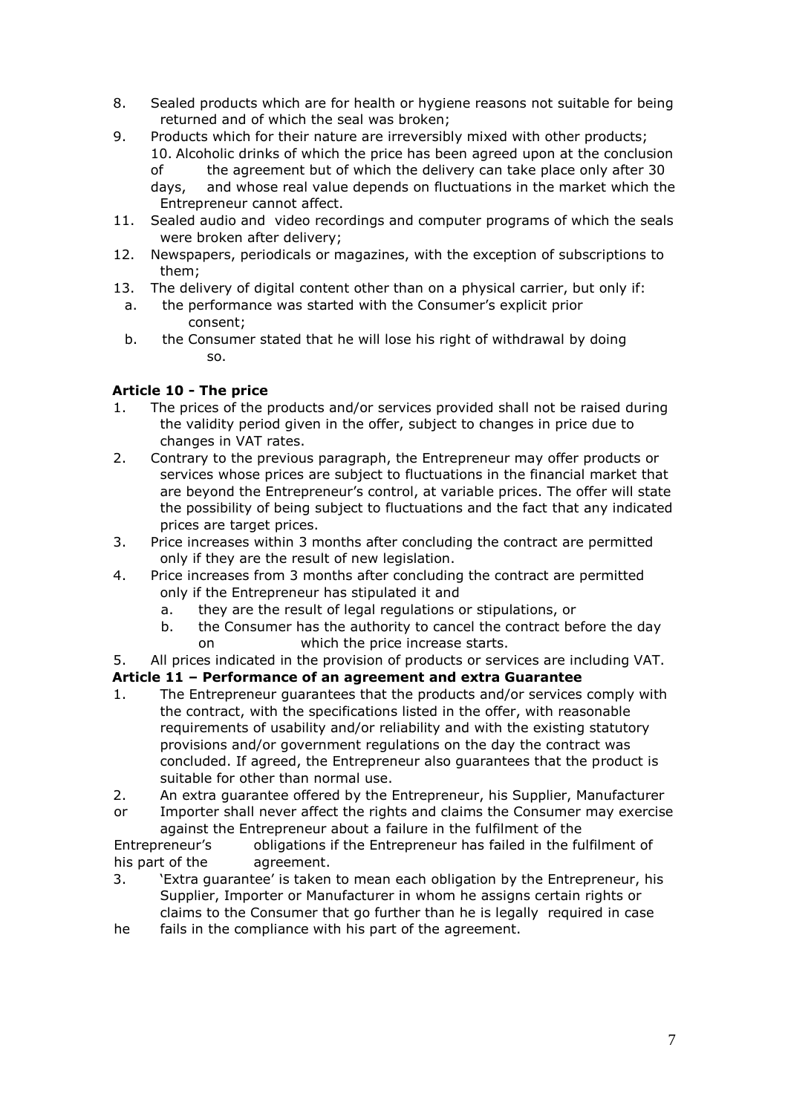- 8. Sealed products which are for health or hygiene reasons not suitable for being returned and of which the seal was broken;
- 9. Products which for their nature are irreversibly mixed with other products; 10. Alcoholic drinks of which the price has been agreed upon at the conclusion of the agreement but of which the delivery can take place only after 30 days, and whose real value depends on fluctuations in the market which the Entrepreneur cannot affect.
- 11. Sealed audio and video recordings and computer programs of which the seals were broken after delivery;
- 12. Newspapers, periodicals or magazines, with the exception of subscriptions to them;
- 13. The delivery of digital content other than on a physical carrier, but only if:
- a. the performance was started with the Consumer's explicit prior consent;
- b. the Consumer stated that he will lose his right of withdrawal by doing so.

# **Article 10 - The price**

- 1. The prices of the products and/or services provided shall not be raised during the validity period given in the offer, subject to changes in price due to changes in VAT rates.
- 2. Contrary to the previous paragraph, the Entrepreneur may offer products or services whose prices are subject to fluctuations in the financial market that are beyond the Entrepreneur's control, at variable prices. The offer will state the possibility of being subject to fluctuations and the fact that any indicated prices are target prices.
- 3. Price increases within 3 months after concluding the contract are permitted only if they are the result of new legislation.
- 4. Price increases from 3 months after concluding the contract are permitted only if the Entrepreneur has stipulated it and
	- a. they are the result of legal regulations or stipulations, or
	- b. the Consumer has the authority to cancel the contract before the day on which the price increase starts.

5. All prices indicated in the provision of products or services are including VAT.

# **Article 11 – Performance of an agreement and extra Guarantee**

- 1. The Entrepreneur guarantees that the products and/or services comply with the contract, with the specifications listed in the offer, with reasonable requirements of usability and/or reliability and with the existing statutory provisions and/or government regulations on the day the contract was concluded. If agreed, the Entrepreneur also guarantees that the product is suitable for other than normal use.
- 2. An extra guarantee offered by the Entrepreneur, his Supplier, Manufacturer
- or Importer shall never affect the rights and claims the Consumer may exercise against the Entrepreneur about a failure in the fulfilment of the

Entrepreneur's obligations if the Entrepreneur has failed in the fulfilment of his part of the agreement.

- 3. 'Extra guarantee' is taken to mean each obligation by the Entrepreneur, his Supplier, Importer or Manufacturer in whom he assigns certain rights or claims to the Consumer that go further than he is legally required in case
- he fails in the compliance with his part of the agreement.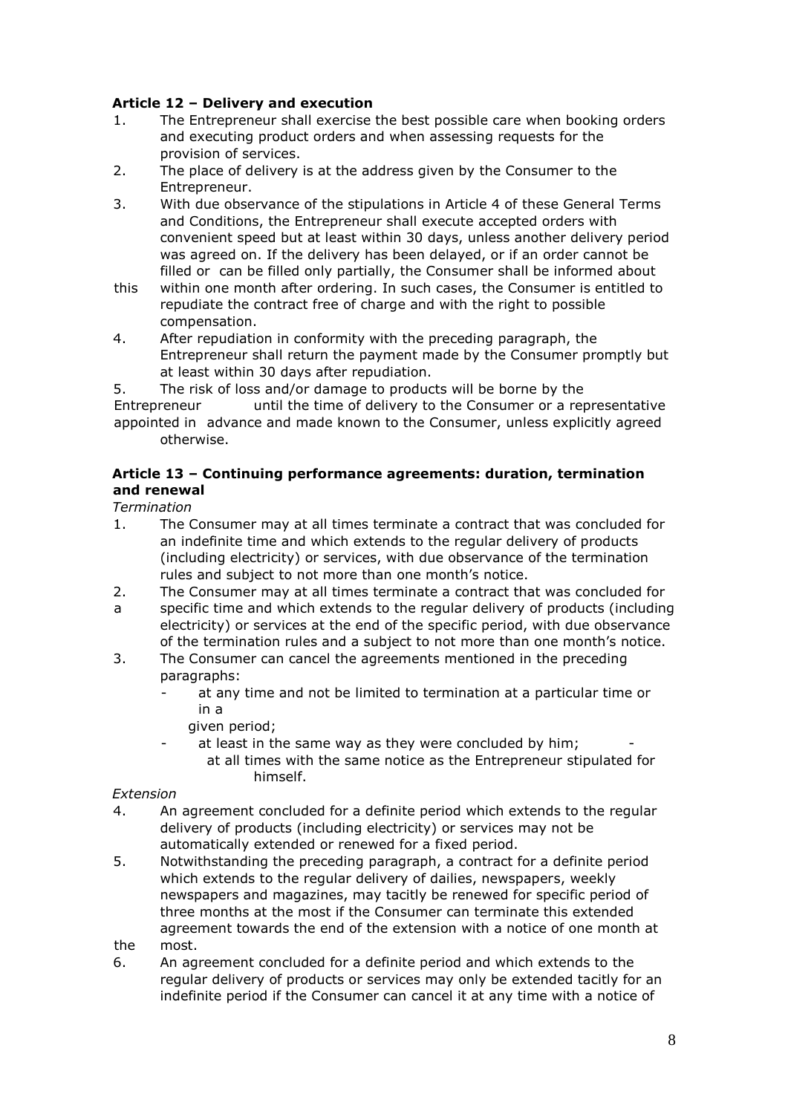### **Article 12 – Delivery and execution**

- 1. The Entrepreneur shall exercise the best possible care when booking orders and executing product orders and when assessing requests for the provision of services.
- 2. The place of delivery is at the address given by the Consumer to the Entrepreneur.
- 3. With due observance of the stipulations in Article 4 of these General Terms and Conditions, the Entrepreneur shall execute accepted orders with convenient speed but at least within 30 days, unless another delivery period was agreed on. If the delivery has been delayed, or if an order cannot be filled or can be filled only partially, the Consumer shall be informed about
- this within one month after ordering. In such cases, the Consumer is entitled to repudiate the contract free of charge and with the right to possible compensation.
- 4. After repudiation in conformity with the preceding paragraph, the Entrepreneur shall return the payment made by the Consumer promptly but at least within 30 days after repudiation.
- 5. The risk of loss and/or damage to products will be borne by the

Entrepreneur until the time of delivery to the Consumer or a representative appointed in advance and made known to the Consumer, unless explicitly agreed otherwise.

#### **Article 13 – Continuing performance agreements: duration, termination and renewal**

*Termination*

- 1. The Consumer may at all times terminate a contract that was concluded for an indefinite time and which extends to the regular delivery of products (including electricity) or services, with due observance of the termination rules and subject to not more than one month's notice.
- 2. The Consumer may at all times terminate a contract that was concluded for
- a specific time and which extends to the regular delivery of products (including electricity) or services at the end of the specific period, with due observance of the termination rules and a subject to not more than one month's notice.
- 3. The Consumer can cancel the agreements mentioned in the preceding paragraphs:
	- at any time and not be limited to termination at a particular time or in a
		- given period;
	- at least in the same way as they were concluded by him; at all times with the same notice as the Entrepreneur stipulated for himself.

#### *Extension*

- 4. An agreement concluded for a definite period which extends to the regular delivery of products (including electricity) or services may not be automatically extended or renewed for a fixed period.
- 5. Notwithstanding the preceding paragraph, a contract for a definite period which extends to the regular delivery of dailies, newspapers, weekly newspapers and magazines, may tacitly be renewed for specific period of three months at the most if the Consumer can terminate this extended agreement towards the end of the extension with a notice of one month at the most.
- 6. An agreement concluded for a definite period and which extends to the regular delivery of products or services may only be extended tacitly for an indefinite period if the Consumer can cancel it at any time with a notice of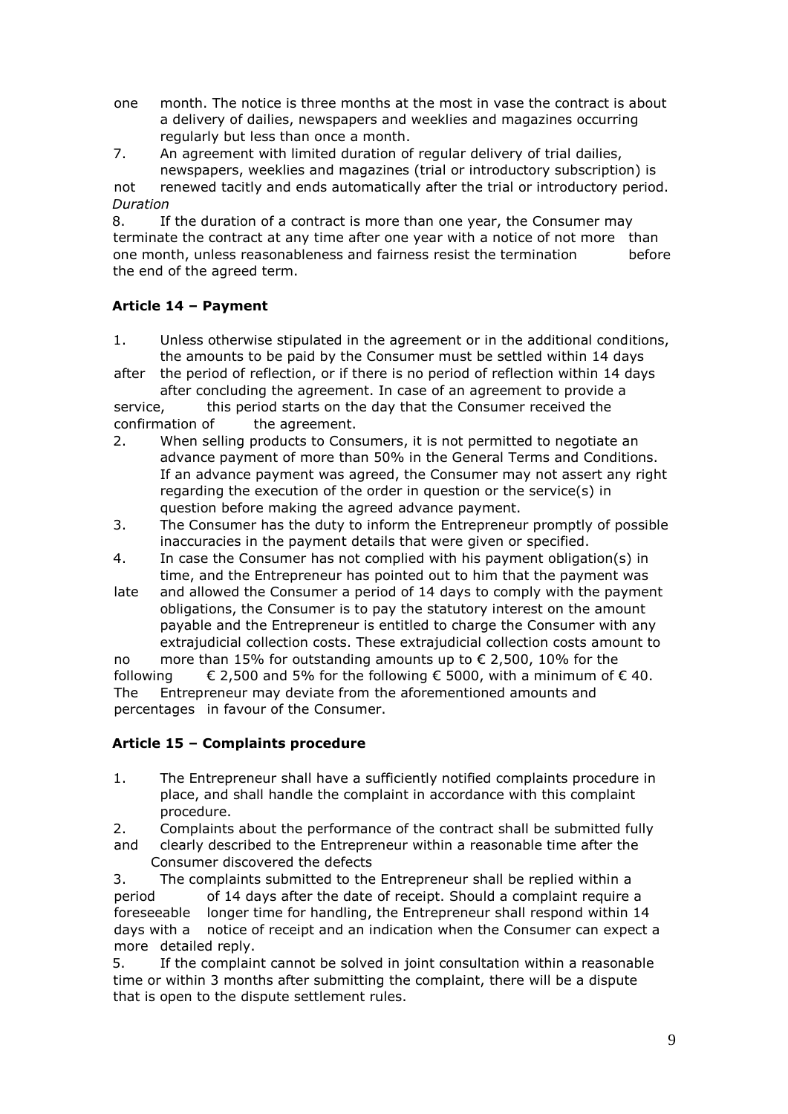- one month. The notice is three months at the most in vase the contract is about a delivery of dailies, newspapers and weeklies and magazines occurring regularly but less than once a month.
- 7. An agreement with limited duration of regular delivery of trial dailies, newspapers, weeklies and magazines (trial or introductory subscription) is

not renewed tacitly and ends automatically after the trial or introductory period. *Duration*

8. If the duration of a contract is more than one year, the Consumer may terminate the contract at any time after one year with a notice of not more than one month, unless reasonableness and fairness resist the termination before the end of the agreed term.

# **Article 14 – Payment**

- 1. Unless otherwise stipulated in the agreement or in the additional conditions, the amounts to be paid by the Consumer must be settled within 14 days
- after the period of reflection, or if there is no period of reflection within 14 days after concluding the agreement. In case of an agreement to provide a

service, this period starts on the day that the Consumer received the confirmation of the agreement.

- 2. When selling products to Consumers, it is not permitted to negotiate an advance payment of more than 50% in the General Terms and Conditions. If an advance payment was agreed, the Consumer may not assert any right regarding the execution of the order in question or the service(s) in question before making the agreed advance payment.
- 3. The Consumer has the duty to inform the Entrepreneur promptly of possible inaccuracies in the payment details that were given or specified.
- 4. In case the Consumer has not complied with his payment obligation(s) in time, and the Entrepreneur has pointed out to him that the payment was
- late and allowed the Consumer a period of 14 days to comply with the payment obligations, the Consumer is to pay the statutory interest on the amount payable and the Entrepreneur is entitled to charge the Consumer with any extrajudicial collection costs. These extrajudicial collection costs amount to

no more than 15% for outstanding amounts up to € 2,500, 10% for the following  $\epsilon$  2,500 and 5% for the following  $\epsilon$  5000, with a minimum of  $\epsilon$  40. The Entrepreneur may deviate from the aforementioned amounts and percentages in favour of the Consumer.

# **Article 15 – Complaints procedure**

- 1. The Entrepreneur shall have a sufficiently notified complaints procedure in place, and shall handle the complaint in accordance with this complaint procedure.
- 2. Complaints about the performance of the contract shall be submitted fully and clearly described to the Entrepreneur within a reasonable time after the Consumer discovered the defects

3. The complaints submitted to the Entrepreneur shall be replied within a period of 14 days after the date of receipt. Should a complaint require a foreseeable longer time for handling, the Entrepreneur shall respond within 14 days with a notice of receipt and an indication when the Consumer can expect a more detailed reply.

5. If the complaint cannot be solved in joint consultation within a reasonable time or within 3 months after submitting the complaint, there will be a dispute that is open to the dispute settlement rules.